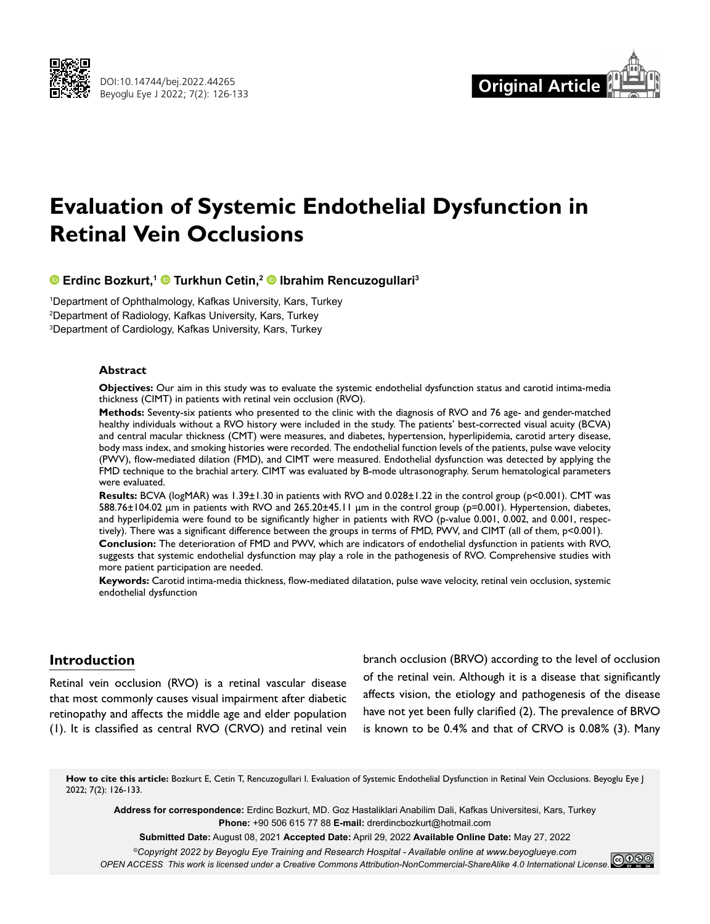



# **Evaluation of Systemic Endothelial Dysfunction in Retinal Vein Occlusions**

# **Erdinc Bozkurt,1Turkhun Cetin,2Ibrahim Rencuzogullari3**

1 Department of Ophthalmology, Kafkas University, Kars, Turkey 2 Department of Radiology, Kafkas University, Kars, Turkey 3 Department of Cardiology, Kafkas University, Kars, Turkey

#### **Abstract**

**Objectives:** Our aim in this study was to evaluate the systemic endothelial dysfunction status and carotid intima-media thickness (CIMT) in patients with retinal vein occlusion (RVO).

**Methods:** Seventy-six patients who presented to the clinic with the diagnosis of RVO and 76 age- and gender-matched healthy individuals without a RVO history were included in the study. The patients' best-corrected visual acuity (BCVA) and central macular thickness (CMT) were measures, and diabetes, hypertension, hyperlipidemia, carotid artery disease, body mass index, and smoking histories were recorded. The endothelial function levels of the patients, pulse wave velocity (PWV), flow-mediated dilation (FMD), and CIMT were measured. Endothelial dysfunction was detected by applying the FMD technique to the brachial artery. CIMT was evaluated by B-mode ultrasonography. Serum hematological parameters were evaluated.

**Results:** BCVA (logMAR) was 1.39±1.30 in patients with RVO and 0.028±1.22 in the control group (p<0.001). CMT was 588.76±104.02 µm in patients with RVO and 265.20±45.11 µm in the control group (p=0.001). Hypertension, diabetes, and hyperlipidemia were found to be significantly higher in patients with RVO (p-value 0.001, 0.002, and 0.001, respectively). There was a significant difference between the groups in terms of FMD, PWV, and CIMT (all of them, p<0.001).

**Conclusion:** The deterioration of FMD and PWV, which are indicators of endothelial dysfunction in patients with RVO, suggests that systemic endothelial dysfunction may play a role in the pathogenesis of RVO. Comprehensive studies with more patient participation are needed.

**Keywords:** Carotid intima-media thickness, flow-mediated dilatation, pulse wave velocity, retinal vein occlusion, systemic endothelial dysfunction

## **Introduction**

Retinal vein occlusion (RVO) is a retinal vascular disease that most commonly causes visual impairment after diabetic retinopathy and affects the middle age and elder population (1). It is classified as central RVO (CRVO) and retinal vein branch occlusion (BRVO) according to the level of occlusion of the retinal vein. Although it is a disease that significantly affects vision, the etiology and pathogenesis of the disease have not yet been fully clarified (2). The prevalence of BRVO is known to be 0.4% and that of CRVO is 0.08% (3). Many

How to cite this article: Bozkurt E, Cetin T, Rencuzogullari I. Evaluation of Systemic Endothelial Dysfunction in Retinal Vein Occlusions. Beyoglu Eye J 2022; 7(2): 126-133.

**Address for correspondence:** Erdinc Bozkurt, MD. Goz Hastaliklari Anabilim Dali, Kafkas Universitesi, Kars, Turkey **Phone:** +90 506 615 77 88 **E-mail:** drerdincbozkurt@hotmail.com

**Submitted Date:** August 08, 2021 **Accepted Date:** April 29, 2022 **Available Online Date:** May 27, 2022

*©Copyright 2022 by Beyoglu Eye Training and Research Hospital - Available online at www.beyoglueye.com*

*OPEN ACCESS This work is licensed under a Creative Commons Attribution-NonCommercial-ShareAlike 4.0 International License.*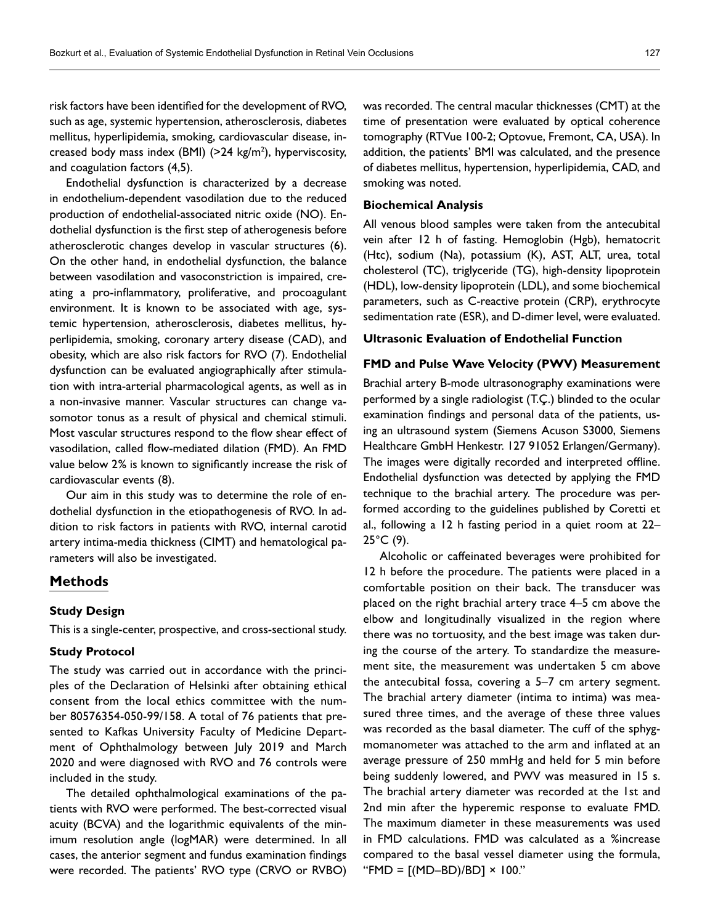risk factors have been identified for the development of RVO, such as age, systemic hypertension, atherosclerosis, diabetes mellitus, hyperlipidemia, smoking, cardiovascular disease, increased body mass index (BMI) (>24 kg/m2 ), hyperviscosity, and coagulation factors (4,5).

Endothelial dysfunction is characterized by a decrease in endothelium-dependent vasodilation due to the reduced production of endothelial-associated nitric oxide (NO). Endothelial dysfunction is the first step of atherogenesis before atherosclerotic changes develop in vascular structures (6). On the other hand, in endothelial dysfunction, the balance between vasodilation and vasoconstriction is impaired, creating a pro-inflammatory, proliferative, and procoagulant environment. It is known to be associated with age, systemic hypertension, atherosclerosis, diabetes mellitus, hyperlipidemia, smoking, coronary artery disease (CAD), and obesity, which are also risk factors for RVO (7). Endothelial dysfunction can be evaluated angiographically after stimulation with intra-arterial pharmacological agents, as well as in a non-invasive manner. Vascular structures can change vasomotor tonus as a result of physical and chemical stimuli. Most vascular structures respond to the flow shear effect of vasodilation, called flow-mediated dilation (FMD). An FMD value below 2% is known to significantly increase the risk of cardiovascular events (8).

Our aim in this study was to determine the role of endothelial dysfunction in the etiopathogenesis of RVO. In addition to risk factors in patients with RVO, internal carotid artery intima-media thickness (CIMT) and hematological parameters will also be investigated.

#### **Methods**

## **Study Design**

This is a single-center, prospective, and cross-sectional study.

## **Study Protocol**

The study was carried out in accordance with the principles of the Declaration of Helsinki after obtaining ethical consent from the local ethics committee with the number 80576354-050-99/158. A total of 76 patients that presented to Kafkas University Faculty of Medicine Department of Ophthalmology between July 2019 and March 2020 and were diagnosed with RVO and 76 controls were included in the study.

The detailed ophthalmological examinations of the patients with RVO were performed. The best-corrected visual acuity (BCVA) and the logarithmic equivalents of the minimum resolution angle (logMAR) were determined. In all cases, the anterior segment and fundus examination findings were recorded. The patients' RVO type (CRVO or RVBO) was recorded. The central macular thicknesses (CMT) at the time of presentation were evaluated by optical coherence tomography (RTVue 100-2; Optovue, Fremont, CA, USA). In addition, the patients' BMI was calculated, and the presence of diabetes mellitus, hypertension, hyperlipidemia, CAD, and smoking was noted.

## **Biochemical Analysis**

All venous blood samples were taken from the antecubital vein after 12 h of fasting. Hemoglobin (Hgb), hematocrit (Htc), sodium (Na), potassium (K), AST, ALT, urea, total cholesterol (TC), triglyceride (TG), high-density lipoprotein (HDL), low-density lipoprotein (LDL), and some biochemical parameters, such as C-reactive protein (CRP), erythrocyte sedimentation rate (ESR), and D-dimer level, were evaluated.

#### **Ultrasonic Evaluation of Endothelial Function**

## **FMD and Pulse Wave Velocity (PWV) Measurement**

Brachial artery B-mode ultrasonography examinations were performed by a single radiologist (T.Ç.) blinded to the ocular examination findings and personal data of the patients, using an ultrasound system (Siemens Acuson S3000, Siemens Healthcare GmbH Henkestr. 127 91052 Erlangen/Germany). The images were digitally recorded and interpreted offline. Endothelial dysfunction was detected by applying the FMD technique to the brachial artery. The procedure was performed according to the guidelines published by Coretti et al., following a 12 h fasting period in a quiet room at 22–  $25^{\circ}$ C (9).

Alcoholic or caffeinated beverages were prohibited for 12 h before the procedure. The patients were placed in a comfortable position on their back. The transducer was placed on the right brachial artery trace 4–5 cm above the elbow and longitudinally visualized in the region where there was no tortuosity, and the best image was taken during the course of the artery. To standardize the measurement site, the measurement was undertaken 5 cm above the antecubital fossa, covering a 5–7 cm artery segment. The brachial artery diameter (intima to intima) was measured three times, and the average of these three values was recorded as the basal diameter. The cuff of the sphygmomanometer was attached to the arm and inflated at an average pressure of 250 mmHg and held for 5 min before being suddenly lowered, and PWV was measured in 15 s. The brachial artery diameter was recorded at the 1st and 2nd min after the hyperemic response to evaluate FMD. The maximum diameter in these measurements was used in FMD calculations. FMD was calculated as a %increase compared to the basal vessel diameter using the formula,  $"FMD = [(MD-BD)/BD] \times 100."$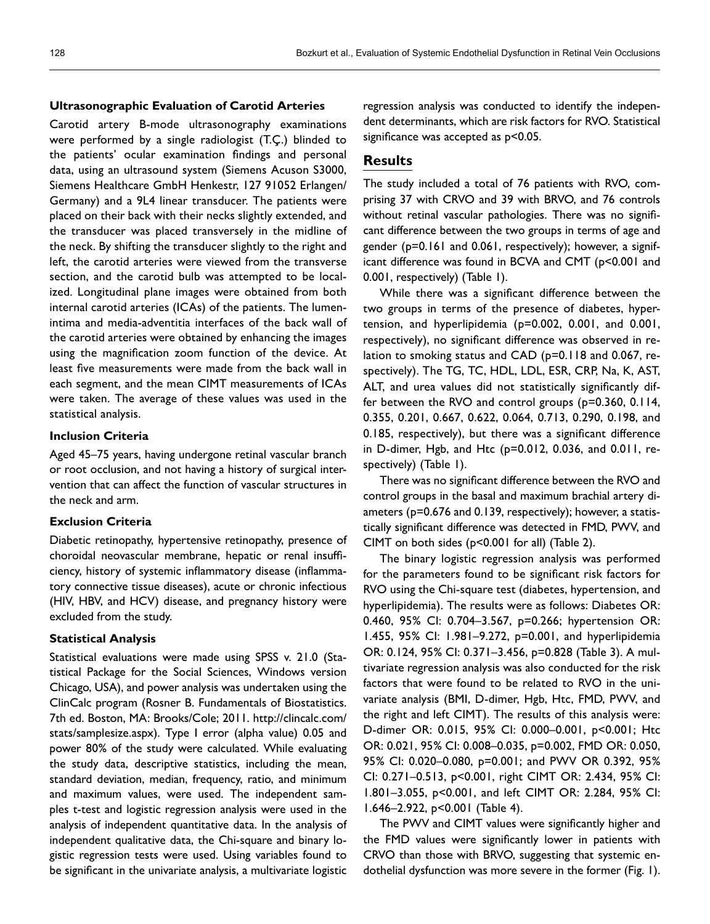## **Ultrasonographic Evaluation of Carotid Arteries**

Carotid artery B-mode ultrasonography examinations were performed by a single radiologist (T.Ç.) blinded to the patients' ocular examination findings and personal data, using an ultrasound system (Siemens Acuson S3000, Siemens Healthcare GmbH Henkestr, 127 91052 Erlangen/ Germany) and a 9L4 linear transducer. The patients were placed on their back with their necks slightly extended, and the transducer was placed transversely in the midline of the neck. By shifting the transducer slightly to the right and left, the carotid arteries were viewed from the transverse section, and the carotid bulb was attempted to be localized. Longitudinal plane images were obtained from both internal carotid arteries (ICAs) of the patients. The lumenintima and media-adventitia interfaces of the back wall of the carotid arteries were obtained by enhancing the images using the magnification zoom function of the device. At least five measurements were made from the back wall in each segment, and the mean CIMT measurements of ICAs were taken. The average of these values was used in the statistical analysis.

#### **Inclusion Criteria**

Aged 45–75 years, having undergone retinal vascular branch or root occlusion, and not having a history of surgical intervention that can affect the function of vascular structures in the neck and arm.

# **Exclusion Criteria**

Diabetic retinopathy, hypertensive retinopathy, presence of choroidal neovascular membrane, hepatic or renal insufficiency, history of systemic inflammatory disease (inflammatory connective tissue diseases), acute or chronic infectious (HIV, HBV, and HCV) disease, and pregnancy history were excluded from the study.

## **Statistical Analysis**

Statistical evaluations were made using SPSS v. 21.0 (Statistical Package for the Social Sciences, Windows version Chicago, USA), and power analysis was undertaken using the ClinCalc program (Rosner B. Fundamentals of Biostatistics. 7th ed. Boston, MA: Brooks/Cole; 2011. http://clincalc.com/ stats/samplesize.aspx). Type I error (alpha value) 0.05 and power 80% of the study were calculated. While evaluating the study data, descriptive statistics, including the mean, standard deviation, median, frequency, ratio, and minimum and maximum values, were used. The independent samples t-test and logistic regression analysis were used in the analysis of independent quantitative data. In the analysis of independent qualitative data, the Chi-square and binary logistic regression tests were used. Using variables found to be significant in the univariate analysis, a multivariate logistic regression analysis was conducted to identify the independent determinants, which are risk factors for RVO. Statistical significance was accepted as  $p$ <0.05.

# **Results**

The study included a total of 76 patients with RVO, comprising 37 with CRVO and 39 with BRVO, and 76 controls without retinal vascular pathologies. There was no significant difference between the two groups in terms of age and gender (p=0.161 and 0.061, respectively); however, a significant difference was found in BCVA and CMT (p<0.001 and 0.001, respectively) (Table 1).

While there was a significant difference between the two groups in terms of the presence of diabetes, hypertension, and hyperlipidemia (p=0.002, 0.001, and 0.001, respectively), no significant difference was observed in relation to smoking status and CAD (p=0.118 and 0.067, respectively). The TG, TC, HDL, LDL, ESR, CRP, Na, K, AST, ALT, and urea values did not statistically significantly differ between the RVO and control groups (p=0.360, 0.114, 0.355, 0.201, 0.667, 0.622, 0.064, 0.713, 0.290, 0.198, and 0.185, respectively), but there was a significant difference in D-dimer, Hgb, and Htc (p=0.012, 0.036, and 0.011, respectively) (Table 1).

There was no significant difference between the RVO and control groups in the basal and maximum brachial artery diameters (p=0.676 and 0.139, respectively); however, a statistically significant difference was detected in FMD, PWV, and CIMT on both sides (p<0.001 for all) (Table 2).

The binary logistic regression analysis was performed for the parameters found to be significant risk factors for RVO using the Chi-square test (diabetes, hypertension, and hyperlipidemia). The results were as follows: Diabetes OR: 0.460, 95% CI: 0.704–3.567, p=0.266; hypertension OR: 1.455, 95% CI: 1.981–9.272, p=0.001, and hyperlipidemia OR: 0.124, 95% CI: 0.371–3.456, p=0.828 (Table 3). A multivariate regression analysis was also conducted for the risk factors that were found to be related to RVO in the univariate analysis (BMI, D-dimer, Hgb, Htc, FMD, PWV, and the right and left CIMT). The results of this analysis were: D-dimer OR: 0.015, 95% CI: 0.000–0.001, p<0.001; Htc OR: 0.021, 95% CI: 0.008–0.035, p=0.002, FMD OR: 0.050, 95% CI: 0.020–0.080, p=0.001; and PWV OR 0.392, 95% CI: 0.271–0.513, p<0.001, right CIMT OR: 2.434, 95% CI: 1.801–3.055, p<0.001, and left CIMT OR: 2.284, 95% CI: 1.646–2.922, p<0.001 (Table 4).

The PWV and CIMT values were significantly higher and the FMD values were significantly lower in patients with CRVO than those with BRVO, suggesting that systemic endothelial dysfunction was more severe in the former (Fig. 1).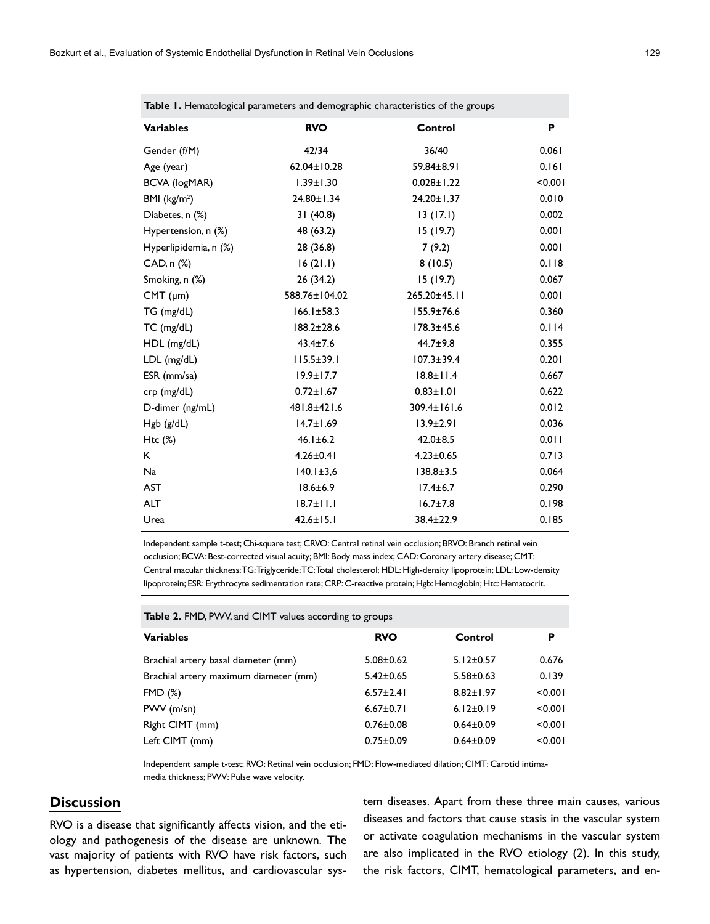| <b>Variables</b>      | <b>RVO</b>       | Control          | P       |  |  |  |
|-----------------------|------------------|------------------|---------|--|--|--|
| Gender (f/M)          | 42/34            | 36/40            | 0.061   |  |  |  |
| Age (year)            | 62.04±10.28      | 59.84±8.91       | 0.161   |  |  |  |
| <b>BCVA (logMAR)</b>  | $1.39 \pm 1.30$  | $0.028 \pm 1.22$ | < 0.001 |  |  |  |
| BMI $(kg/m2)$         | 24.80±1.34       | 24.20±1.37       | 0.010   |  |  |  |
| Diabetes, n (%)       | 31(40.8)         | 13(17.1)         | 0.002   |  |  |  |
| Hypertension, n (%)   | 48 (63.2)        | 15(19.7)         | 0.001   |  |  |  |
| Hyperlipidemia, n (%) | 28 (36.8)        | 7(9.2)           | 0.001   |  |  |  |
| CAD, n (%)            | 16(21.1)         | 8(10.5)          | 0.118   |  |  |  |
| Smoking, n (%)        | 26 (34.2)        | 15(19.7)         | 0.067   |  |  |  |
| $CMT$ ( $\mu$ m)      | 588.76±104.02    | 265.20±45.11     | 0.001   |  |  |  |
| TG (mg/dL)            | $166.1 \pm 58.3$ | $155.9 \pm 76.6$ | 0.360   |  |  |  |
| TC (mg/dL)            | $188.2 \pm 28.6$ | $178.3 \pm 45.6$ | 0.114   |  |  |  |
| HDL (mg/dL)           | $43.4 \pm 7.6$   | $44.7 \pm 9.8$   | 0.355   |  |  |  |
| $LDL$ (mg/dL)         | $115.5 \pm 39.1$ | $107.3 \pm 39.4$ | 0.201   |  |  |  |
| ESR (mm/sa)           | $19.9 \pm 17.7$  | $18.8 \pm 11.4$  | 0.667   |  |  |  |
| crp (mg/dL)           | $0.72 \pm 1.67$  | $0.83 \pm 1.01$  | 0.622   |  |  |  |
| D-dimer (ng/mL)       | 481.8±421.6      | 309.4±161.6      | 0.012   |  |  |  |
| Hgb (g/dL)            | $14.7 \pm 1.69$  | $13.9 \pm 2.91$  | 0.036   |  |  |  |
| $Htc$ (%)             | $46.1 \pm 6.2$   | $42.0 \pm 8.5$   | 0.011   |  |  |  |
| K                     | $4.26 \pm 0.41$  | $4.23 \pm 0.65$  | 0.713   |  |  |  |
| Na                    | $140.1 \pm 3.6$  | $138.8 \pm 3.5$  | 0.064   |  |  |  |
| <b>AST</b>            | $18.6 \pm 6.9$   | $17.4 \pm 6.7$   | 0.290   |  |  |  |
| <b>ALT</b>            | $18.7 \pm 11.1$  | $16.7 \pm 7.8$   | 0.198   |  |  |  |
| Urea                  | $42.6 \pm 15.1$  | 38.4±22.9        | 0.185   |  |  |  |

**Table 1.** Hematological parameters and demographic characteristics of the groups

Independent sample t-test; Chi-square test; CRVO: Central retinal vein occlusion; BRVO: Branch retinal vein occlusion; BCVA: Best-corrected visual acuity; BMI: Body mass index; CAD: Coronary artery disease; CMT: Central macular thickness; TG: Triglyceride; TC: Total cholesterol; HDL: High-density lipoprotein; LDL: Low-density lipoprotein; ESR: Erythrocyte sedimentation rate; CRP: C-reactive protein; Hgb: Hemoglobin; Htc: Hematocrit.

| Table 2. FMD, PWV, and CIMT values according to groups |  |  |  |
|--------------------------------------------------------|--|--|--|
|--------------------------------------------------------|--|--|--|

| <b>Variables</b>                      | <b>RVO</b>      | Control         | P       |
|---------------------------------------|-----------------|-----------------|---------|
| Brachial artery basal diameter (mm)   | $5.08 \pm 0.62$ | $5.12 \pm 0.57$ | 0.676   |
| Brachial artery maximum diameter (mm) | $5.42 \pm 0.65$ | $5.58 \pm 0.63$ | 0.139   |
| <b>FMD (%)</b>                        | $6.57 \pm 2.41$ | $8.82 \pm 1.97$ | < 0.001 |
| PWV (m/sn)                            | $6.67 \pm 0.71$ | $6.12 \pm 0.19$ | < 0.001 |
| Right CIMT (mm)                       | $0.76 \pm 0.08$ | $0.64 \pm 0.09$ | < 0.001 |
| Left CIMT (mm)                        | $0.75 \pm 0.09$ | $0.64 \pm 0.09$ | < 0.001 |

Independent sample t-test; RVO: Retinal vein occlusion; FMD: Flow-mediated dilation; CIMT: Carotid intimamedia thickness; PWV: Pulse wave velocity.

# **Discussion**

RVO is a disease that significantly affects vision, and the etiology and pathogenesis of the disease are unknown. The vast majority of patients with RVO have risk factors, such as hypertension, diabetes mellitus, and cardiovascular system diseases. Apart from these three main causes, various diseases and factors that cause stasis in the vascular system or activate coagulation mechanisms in the vascular system are also implicated in the RVO etiology (2). In this study, the risk factors, CIMT, hematological parameters, and en-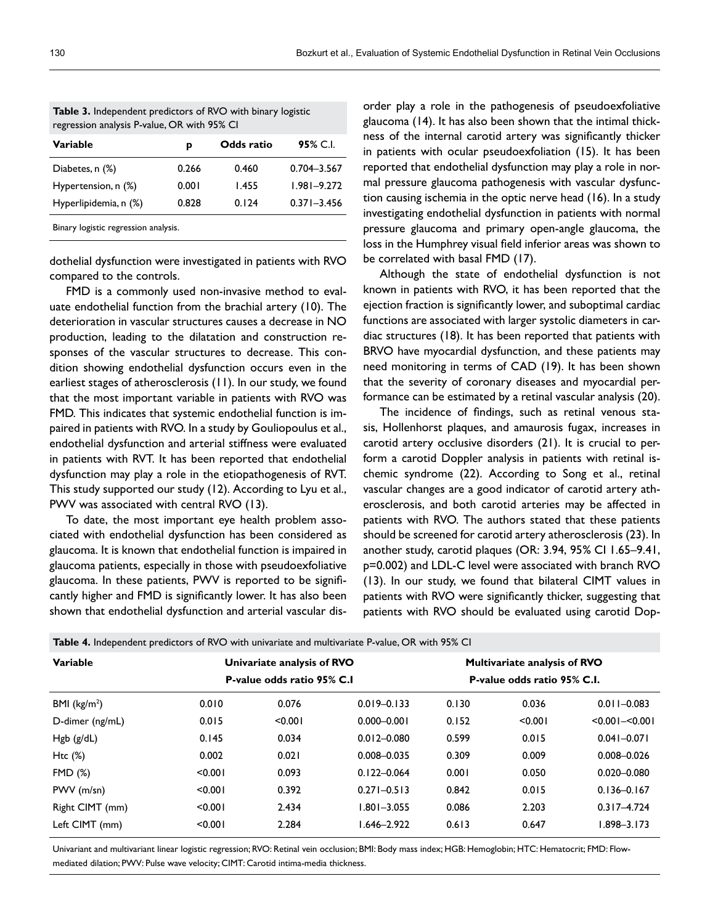| regression analysis P-value, OR with 95% CI |       |            |                 |  |  |
|---------------------------------------------|-------|------------|-----------------|--|--|
| <b>Variable</b>                             | р     | Odds ratio | 95% C.I.        |  |  |
| Diabetes, n (%)                             | 0.266 | 0.460      | $0.704 - 3.567$ |  |  |
| Hypertension, n (%)                         | 0.001 | 1.455      | $1.981 - 9.272$ |  |  |
| Hyperlipidemia, n (%)                       | 0.828 | 0.124      | $0.371 - 3.456$ |  |  |
| Binary logistic regression analysis.        |       |            |                 |  |  |

**Table 3.** Independent predictors of RVO with binary logistic regression analysis P-value, OR with 95% CI

dothelial dysfunction were investigated in patients with RVO compared to the controls.

FMD is a commonly used non-invasive method to evaluate endothelial function from the brachial artery (10). The deterioration in vascular structures causes a decrease in NO production, leading to the dilatation and construction responses of the vascular structures to decrease. This condition showing endothelial dysfunction occurs even in the earliest stages of atherosclerosis (11). In our study, we found that the most important variable in patients with RVO was FMD. This indicates that systemic endothelial function is impaired in patients with RVO. In a study by Gouliopoulus et al., endothelial dysfunction and arterial stiffness were evaluated in patients with RVT. It has been reported that endothelial dysfunction may play a role in the etiopathogenesis of RVT. This study supported our study (12). According to Lyu et al., PWV was associated with central RVO (13).

To date, the most important eye health problem associated with endothelial dysfunction has been considered as glaucoma. It is known that endothelial function is impaired in glaucoma patients, especially in those with pseudoexfoliative glaucoma. In these patients, PWV is reported to be significantly higher and FMD is significantly lower. It has also been shown that endothelial dysfunction and arterial vascular disorder play a role in the pathogenesis of pseudoexfoliative glaucoma (14). It has also been shown that the intimal thickness of the internal carotid artery was significantly thicker in patients with ocular pseudoexfoliation (15). It has been reported that endothelial dysfunction may play a role in normal pressure glaucoma pathogenesis with vascular dysfunction causing ischemia in the optic nerve head (16). In a study investigating endothelial dysfunction in patients with normal pressure glaucoma and primary open-angle glaucoma, the loss in the Humphrey visual field inferior areas was shown to be correlated with basal FMD (17).

Although the state of endothelial dysfunction is not known in patients with RVO, it has been reported that the ejection fraction is significantly lower, and suboptimal cardiac functions are associated with larger systolic diameters in cardiac structures (18). It has been reported that patients with BRVO have myocardial dysfunction, and these patients may need monitoring in terms of CAD (19). It has been shown that the severity of coronary diseases and myocardial performance can be estimated by a retinal vascular analysis (20).

The incidence of findings, such as retinal venous stasis, Hollenhorst plaques, and amaurosis fugax, increases in carotid artery occlusive disorders (21). It is crucial to perform a carotid Doppler analysis in patients with retinal ischemic syndrome (22). According to Song et al., retinal vascular changes are a good indicator of carotid artery atherosclerosis, and both carotid arteries may be affected in patients with RVO. The authors stated that these patients should be screened for carotid artery atherosclerosis (23). In another study, carotid plaques (OR: 3.94, 95% CI 1.65–9.41, p=0.002) and LDL-C level were associated with branch RVO (13). In our study, we found that bilateral CIMT values in patients with RVO were significantly thicker, suggesting that patients with RVO should be evaluated using carotid Dop-

| <b>Table 4.</b> Independent predictors of RVO with univariate and multivariate P-value, OR with 95% CI |                            |                             |                                     |         |                     |
|--------------------------------------------------------------------------------------------------------|----------------------------|-----------------------------|-------------------------------------|---------|---------------------|
|                                                                                                        | Univariate analysis of RVO |                             | <b>Multivariate analysis of RVO</b> |         |                     |
| P-value odds ratio 95% C.I                                                                             |                            | P-value odds ratio 95% C.I. |                                     |         |                     |
| 0.010                                                                                                  | 0.076                      | $0.019 - 0.133$             | 0.130                               | 0.036   | $0.011 - 0.083$     |
| 0.015                                                                                                  | < 0.001                    | $0.000 - 0.001$             | 0.152                               | < 0.001 | $< 0.001 - < 0.001$ |
| 0.145                                                                                                  | 0.034                      | $0.012 - 0.080$             | 0.599                               | 0.015   | $0.041 - 0.071$     |
| 0.002                                                                                                  | 0.021                      | $0.008 - 0.035$             | 0.309                               | 0.009   | $0.008 - 0.026$     |
| < 0.001                                                                                                | 0.093                      | $0.122 - 0.064$             | 0.001                               | 0.050   | $0.020 - 0.080$     |
| < 0.001                                                                                                | 0.392                      | $0.271 - 0.513$             | 0.842                               | 0.015   | $0.136 - 0.167$     |
| < 0.001                                                                                                | 2.434                      | $1.801 - 3.055$             | 0.086                               | 2.203   | $0.317 - 4.724$     |
| < 0.001                                                                                                | 2.284                      | 1.646-2.922                 | 0.613                               | 0.647   | 1.898–3.173         |
|                                                                                                        |                            |                             |                                     |         |                     |

Univariant and multivariant linear logistic regression; RVO: Retinal vein occlusion; BMI: Body mass index; HGB: Hemoglobin; HTC: Hematocrit; FMD: Flowmediated dilation; PWV: Pulse wave velocity; CIMT: Carotid intima-media thickness.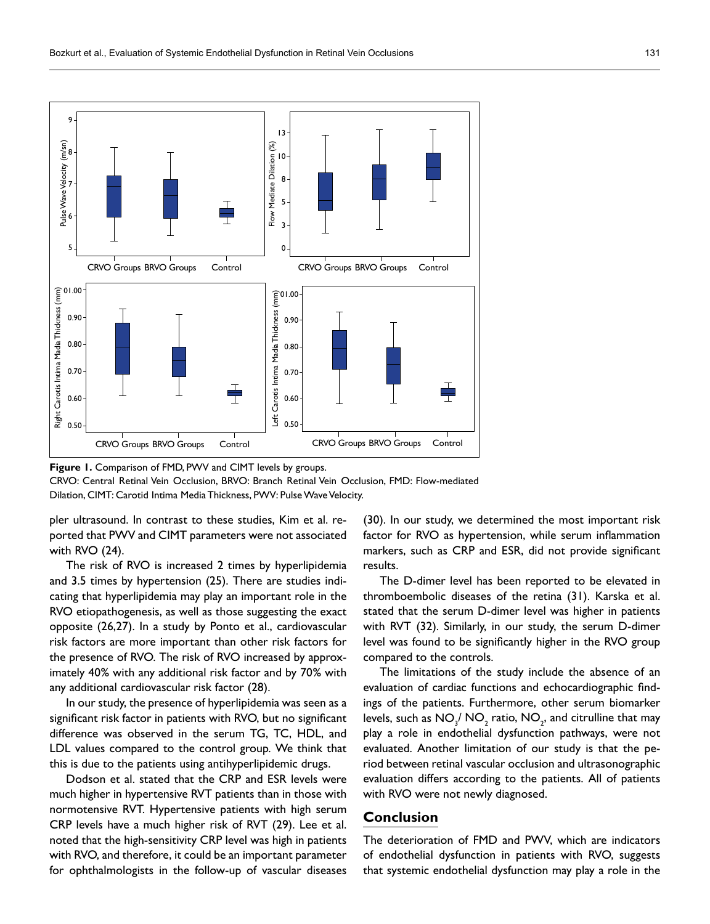

**Figure 1.** Comparison of FMD, PWV and CIMT levels by groups.

CRVO: Central Retinal Vein Occlusion, BRVO: Branch Retinal Vein Occlusion, FMD: Flow-mediated Dilation, CIMT: Carotid Intima Media Thickness, PWV: Pulse Wave Velocity.

pler ultrasound. In contrast to these studies, Kim et al. reported that PWV and CIMT parameters were not associated with RVO (24).

The risk of RVO is increased 2 times by hyperlipidemia and 3.5 times by hypertension (25). There are studies indicating that hyperlipidemia may play an important role in the RVO etiopathogenesis, as well as those suggesting the exact opposite (26,27). In a study by Ponto et al., cardiovascular risk factors are more important than other risk factors for the presence of RVO. The risk of RVO increased by approximately 40% with any additional risk factor and by 70% with any additional cardiovascular risk factor (28).

In our study, the presence of hyperlipidemia was seen as a significant risk factor in patients with RVO, but no significant difference was observed in the serum TG, TC, HDL, and LDL values compared to the control group. We think that this is due to the patients using antihyperlipidemic drugs.

Dodson et al. stated that the CRP and ESR levels were much higher in hypertensive RVT patients than in those with normotensive RVT. Hypertensive patients with high serum CRP levels have a much higher risk of RVT (29). Lee et al. noted that the high-sensitivity CRP level was high in patients with RVO, and therefore, it could be an important parameter for ophthalmologists in the follow-up of vascular diseases

(30). In our study, we determined the most important risk factor for RVO as hypertension, while serum inflammation markers, such as CRP and ESR, did not provide significant results.

The D-dimer level has been reported to be elevated in thromboembolic diseases of the retina (31). Karska et al. stated that the serum D-dimer level was higher in patients with RVT (32). Similarly, in our study, the serum D-dimer level was found to be significantly higher in the RVO group compared to the controls.

The limitations of the study include the absence of an evaluation of cardiac functions and echocardiographic findings of the patients. Furthermore, other serum biomarker levels, such as  $\mathsf{NO_3/NO_2}$  ratio,  $\mathsf{NO_2}$ , and citrulline that may play a role in endothelial dysfunction pathways, were not evaluated. Another limitation of our study is that the period between retinal vascular occlusion and ultrasonographic evaluation differs according to the patients. All of patients with RVO were not newly diagnosed.

# **Conclusion**

The deterioration of FMD and PWV, which are indicators of endothelial dysfunction in patients with RVO, suggests that systemic endothelial dysfunction may play a role in the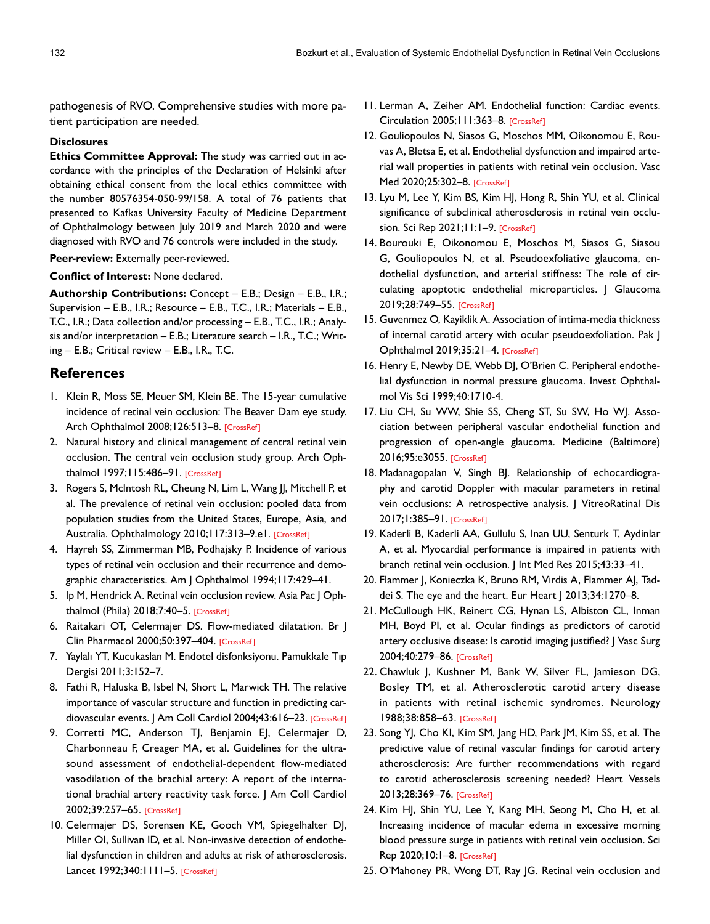pathogenesis of RVO. Comprehensive studies with more patient participation are needed.

#### **Disclosures**

**Ethics Committee Approval:** The study was carried out in accordance with the principles of the Declaration of Helsinki after obtaining ethical consent from the local ethics committee with the number 80576354-050-99/158. A total of 76 patients that presented to Kafkas University Faculty of Medicine Department of Ophthalmology between July 2019 and March 2020 and were diagnosed with RVO and 76 controls were included in the study.

**Peer-review:** Externally peer-reviewed.

**Conflict of Interest:** None declared.

**Authorship Contributions:** Concept – E.B.; Design – E.B., I.R.; Supervision – E.B., I.R.; Resource – E.B., T.C., I.R.; Materials – E.B., T.C., I.R.; Data collection and/or processing – E.B., T.C., I.R.; Analysis and/or interpretation – E.B.; Literature search – I.R., T.C.; Writing – E.B.; Critical review – E.B., I.R., T.C.

## **References**

- 1. Klein R, Moss SE, Meuer SM, Klein BE. The 15-year cumulative incidence of retinal vein occlusion: The Beaver Dam eye study. Arch Ophthalmol 2008;126:513-8[. \[CrossRef\]](https://doi.org/10.1001/archopht.126.4.513)
- 2. Natural history and clinical management of central retinal vein occlusion. The central vein occlusion study group. Arch Ophthalmol 1997;115:486–9[1. \[CrossRef\]](https://doi.org/10.1001/archopht.1997.01100150488006)
- 3. Rogers S, McIntosh RL, Cheung N, Lim L, Wang JJ, Mitchell P, et al. The prevalence of retinal vein occlusion: pooled data from population studies from the United States, Europe, Asia, and Australia. Ophthalmology 2010;117:313-9.e[1. \[CrossRef\]](https://doi.org/10.1016/j.ophtha.2009.07.017)
- 4. Hayreh SS, Zimmerman MB, Podhajsky P. Incidence of various types of retinal vein occlusion and their recurrence and demographic characteristics. Am J Ophthalmo[l 1994;117:429–41.](https://doi.org/10.1016/S0002-9394(14)70001-7)
- 5. Ip M, Hendrick A. Retinal vein occlusion review. Asia Pac J Ophthalmol (Phila) 2018;7:40–5[. \[CrossRef\]](https://doi.org/10.22608/APO.2017163442)
- 6. Raitakari OT, Celermajer DS. Flow-mediated dilatation. Br J Clin Pharmacol 2000;50:397–404[. \[CrossRef\]](https://doi.org/10.1046/j.1365-2125.2000.00277.x)
- 7. Yaylalı YT, Kucukaslan M. Endotel disfonksiyonu. Pamukkale Tıp Dergisi 2011;3:152–7.
- 8. Fathi R, Haluska B, Isbel N, Short L, Marwick TH. The relative importance of vascular structure and function in predicting car-diovascular events. | Am Coll Cardiol 2004;43:616-2[3. \[CrossRef\]](https://doi.org/10.1016/j.jacc.2003.09.042)
- 9. Corretti MC, Anderson TJ, Benjamin EJ, Celermajer D, Charbonneau F, Creager MA, et al. Guidelines for the ultrasound assessment of endothelial-dependent flow-mediated vasodilation of the brachial artery: A report of the international brachial artery reactivity task force. J Am Coll Cardiol 2002;39:257–6[5. \[CrossRef\]](https://doi.org/10.1016/S0735-1097(01)01746-6)
- 10. Celermajer DS, Sorensen KE, Gooch VM, Spiegelhalter DJ, Miller OI, Sullivan ID, et al. Non-invasive detection of endothelial dysfunction in children and adults at risk of atherosclerosis. Lancet 1992;340:1111-5. [\[CrossRef\]](https://doi.org/10.1016/0140-6736(92)93147-F)
- 11. Lerman A, Zeiher AM. Endothelial function: Cardiac events. Circulation 2005;111:363–[8. \[CrossRef\]](https://doi.org/10.1161/01.CIR.0000153339.27064.14)
- 12. Gouliopoulos N, Siasos G, Moschos MM, Oikonomou E, Rouvas A, Bletsa E, et al. Endothelial dysfunction and impaired arterial wall properties in patients with retinal vein occlusion. Vasc Med 2020;25:302–[8. \[CrossRef\]](https://doi.org/10.1177/1358863X20913609)
- 13. Lyu M, Lee Y, Kim BS, Kim HJ, Hong R, Shin YU, et al. Clinical significance of subclinical atherosclerosis in retinal vein occlu-sion. Sci Rep 2021;11:1-[9. \[CrossRef\]](https://doi.org/10.1038/s41598-021-91401-1)
- 14. Bourouki E, Oikonomou E, Moschos M, Siasos G, Siasou G, Gouliopoulos N, et al. Pseudoexfoliative glaucoma, endothelial dysfunction, and arterial stiffness: The role of circulating apoptotic endothelial microparticles. J Glaucoma 2019;28:749–5[5. \[CrossRef\]](https://doi.org/10.1097/IJG.0000000000001303)
- 15. Guvenmez O, Kayiklik A. Association of intima-media thickness of internal carotid artery with ocular pseudoexfoliation. Pak J Ophthalmol 2019;35:21–4. [\[CrossRef\]](https://doi.org/10.36351/pjo.v35i1.858)
- 16. Henry E, Newby DE, Webb DJ, O'Brien C. Peripheral endothelial dysfunction in normal pressure glaucoma. Invest Ophthalmol Vis Sci 1999;40:1710-4.
- 17. Liu CH, Su WW, Shie SS, Cheng ST, Su SW, Ho WJ. Association between peripheral vascular endothelial function and progression of open-angle glaucoma. Medicine (Baltimore) 2016;95:e3055[. \[CrossRef\]](https://doi.org/10.1097/MD.0000000000003055)
- 18. Madanagopalan V, Singh BJ. Relationship of echocardiography and carotid Doppler with macular parameters in retinal vein occlusions: A retrospective analysis. J VitreoRatinal Dis 2017;1:385–91. [\[CrossRef\]](https://doi.org/10.1177/2474126417737192)
- 19. Kaderli B, Kaderli AA, Gullulu S, Inan UU, Senturk T, Aydinlar A, et al. Myocardial performance is impaired in patients with branch retinal vein occlusion. J Int Med [Res 2015;43:33–41.](https://doi.org/10.1177/0300060514543038)
- 20. Flammer J, Konieczka K, Bruno RM, Virdis A, Flammer AJ, Taddei S. The eye and the heart. Eur Heart | 2013;34:1270-8.
- 21. McCullough HK, Reinert CG, Hynan LS, Albiston CL, Inman MH, Boyd PI, et al. Ocular findings as predictors of carotid artery occlusive disease: Is carotid imaging justified? J Vasc Surg 2004;40:279–[86. \[CrossRef\]](https://doi.org/10.1016/j.jvs.2004.05.004)
- 22. Chawluk J, Kushner M, Bank W, Silver FL, Jamieson DG, Bosley TM, et al. Atherosclerotic carotid artery disease in patients with retinal ischemic syndromes. Neurology 1988;38:858–63[. \[CrossRef\]](https://doi.org/10.1212/WNL.38.6.858)
- 23. Song YJ, Cho KI, Kim SM, Jang HD, Park JM, Kim SS, et al. The predictive value of retinal vascular findings for carotid artery atherosclerosis: Are further recommendations with regard to carotid atherosclerosis screening needed? Heart Vessels 2013;28:369–76[. \[CrossRef\]](https://doi.org/10.1007/s00380-012-0258-1)
- 24. Kim HJ, Shin YU, Lee Y, Kang MH, Seong M, Cho H, et al. Increasing incidence of macular edema in excessive morning blood pressure surge in patients with retinal vein occlusion. Sci Rep 2020;10:1[–8. \[CrossRef\]](https://doi.org/10.1038/s41598-020-61386-4)
- 25. O'Mahoney PR, Wong DT, Ray JG. Retinal vein occlusion and